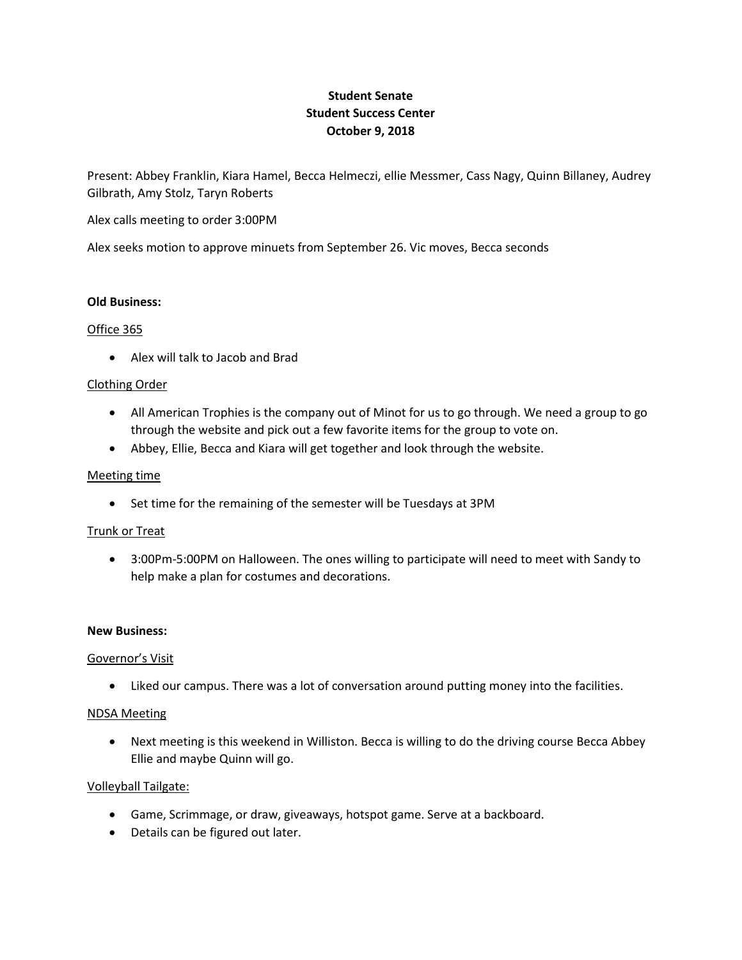# **Student Senate Student Success Center October 9, 2018**

Present: Abbey Franklin, Kiara Hamel, Becca Helmeczi, ellie Messmer, Cass Nagy, Quinn Billaney, Audrey Gilbrath, Amy Stolz, Taryn Roberts

Alex calls meeting to order 3:00PM

Alex seeks motion to approve minuets from September 26. Vic moves, Becca seconds

#### **Old Business:**

## Office 365

Alex will talk to Jacob and Brad

## Clothing Order

- All American Trophies is the company out of Minot for us to go through. We need a group to go through the website and pick out a few favorite items for the group to vote on.
- Abbey, Ellie, Becca and Kiara will get together and look through the website.

## Meeting time

• Set time for the remaining of the semester will be Tuesdays at 3PM

#### Trunk or Treat

 3:00Pm-5:00PM on Halloween. The ones willing to participate will need to meet with Sandy to help make a plan for costumes and decorations.

#### **New Business:**

#### Governor's Visit

Liked our campus. There was a lot of conversation around putting money into the facilities.

## NDSA Meeting

 Next meeting is this weekend in Williston. Becca is willing to do the driving course Becca Abbey Ellie and maybe Quinn will go.

# Volleyball Tailgate:

- Game, Scrimmage, or draw, giveaways, hotspot game. Serve at a backboard.
- Details can be figured out later.